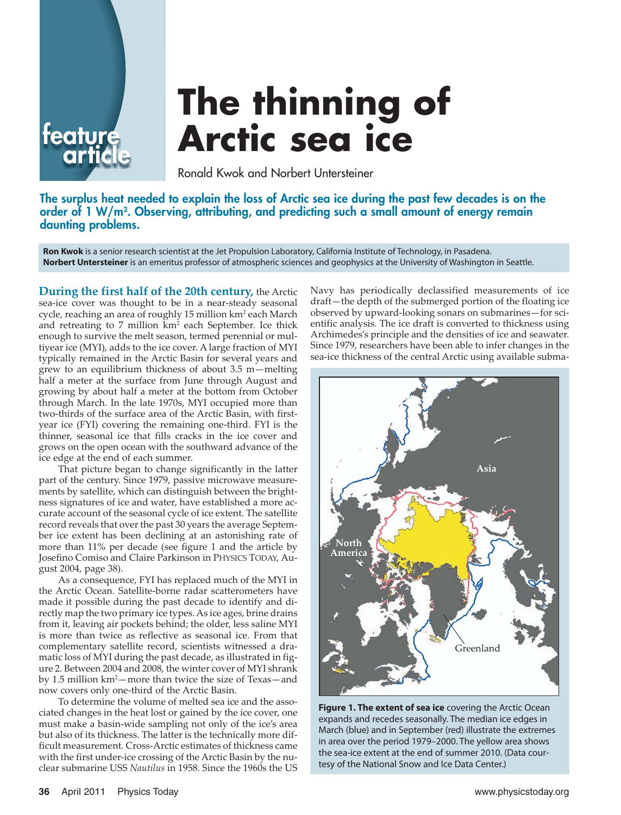

# **The thinning of**

**Arctic Sea in the Universe of Sea in the Sea is a sea in the Sea in the Sea in the Sea in the Sea in the Sea is a sea in the Sea in the Sea is a sea in the Sea in the Sea in the Sea in the Sea in the Sea in the Sea in the** Ronald Kwok and Norbert Untersteiner

# **The surplus heat needed to explain the loss of Arctic sea ice during the past few decades is on the** order of 1 W/m<sup>2</sup>. Observing, attributing, and predicting such a small amount of energy remain **daunting problems.**

**Ron Kwok** is a senior research scientist at the Jet Propulsion Laboratory, California Institute of Technology, in Pasadena. **Norbert Untersteiner** is an emeritus professor of atmospheric sciences and geophysics at the University of Washington in Seattle.

**During the first half of the 20th century,** the Arctic sea-ice cover was thought to be in a near-steady seasonal cycle, reaching an area of roughly 15 million km<sup>2</sup> each March and retreating to 7 million km2 each September. Ice thick enough to survive the melt season, termed perennial or multiyear ice (MYI), adds to the ice cover. A large fraction of MYI typically remained in the Arctic Basin for several years and grew to an equilibrium thickness of about 3.5 m—melting half a meter at the surface from June through August and growing by about half a meter at the bottom from October through March. In the late 1970s, MYI occupied more than two-thirds of the surface area of the Arctic Basin, with firstyear ice (FYI) covering the remaining one-third. FYI is the thinner, seasonal ice that fills cracks in the ice cover and grows on the open ocean with the southward advance of the ice edge at the end of each summer.

That picture began to change significantly in the latter part of the century. Since 1979, passive microwave measurements by satellite, which can distinguish between the brightness signatures of ice and water, have established a more accurate account of the seasonal cycle of ice extent. The satellite record reveals that over the past 30 years the average September ice extent has been declining at an astonishing rate of more than 11% per decade (see figure 1 and the article by Josefino Comiso and Claire Parkinson in PHYSICS TODAY, August 2004, page 38).

As a consequence, FYI has replaced much of the MYI in the Arctic Ocean. Satellite-borne radar scatterometers have made it possible during the past decade to identify and directly map the two primary ice types. As ice ages, brine drains from it, leaving air pockets behind; the older, less saline MYI is more than twice as reflective as seasonal ice. From that complementary satellite record, scientists witnessed a dramatic loss of MYI during the past decade, as illustrated in figure 2. Between 2004 and 2008, the winter cover of MYI shrank by 1.5 million km2 —more than twice the size of Texas—and now covers only one-third of the Arctic Basin.

To determine the volume of melted sea ice and the associated changes in the heat lost or gained by the ice cover, one must make a basin-wide sampling not only of the ice's area but also of its thickness. The latter is the technically more difficult measurement. Cross-Arctic estimates of thickness came with the first under-ice crossing of the Arctic Basin by the nuclear submarine USS *Nautilus* in 1958. Since the 1960s the US Navy has periodically declassified measurements of ice draft—the depth of the submerged portion of the floating ice observed by upward-looking sonars on submarines—for scientific analysis. The ice draft is converted to thickness using Archimedes's principle and the densities of ice and seawater. Since 1979, researchers have been able to infer changes in the sea-ice thickness of the central Arctic using available subma-



**Figure 1. The extent of sea ice** covering the Arctic Ocean expands and recedes seasonally. The median ice edges in March (blue) and in September (red) illustrate the extremes in area over the period 1979–2000. The yellow area shows the sea-ice extent at the end of summer 2010. (Data courtesy of the National Snow and Ice Data Center.)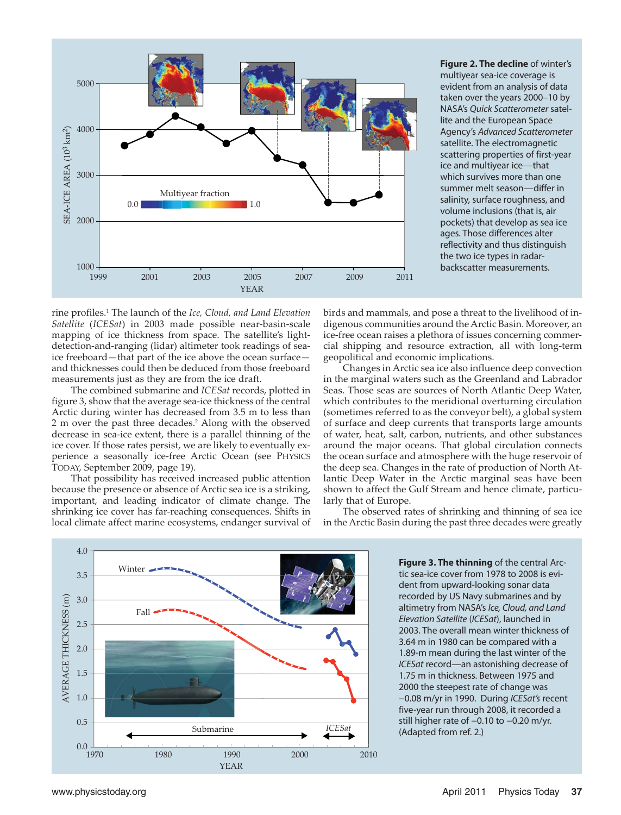

**Figure 2. The decline** of winter's multiyear sea-ice coverage is evident from an analysis of data taken over the years 2000–10 by NASA's *Quick Scatterometer* satellite and the European Space Agency's *Advanced Scatterometer* satellite. The electromagnetic scattering properties of first-year ice and multiyear ice—that which survives more than one summer melt season—differ in salinity, surface roughness, and volume inclusions (that is, air pockets) that develop as sea ice ages. Those differences alter reflectivity and thus distinguish the two ice types in radarbackscatter measurements.

rine profiles.1 The launch of the *Ice, Cloud, and Land Elevation Satellite* (*ICESat*) in 2003 made possible near-basin-scale mapping of ice thickness from space. The satellite's lightdetection-and-ranging (lidar) altimeter took readings of seaice freeboard—that part of the ice above the ocean surface and thicknesses could then be deduced from those freeboard measurements just as they are from the ice draft.

The combined submarine and *ICESat* records, plotted in figure 3, show that the average sea-ice thickness of the central Arctic during winter has decreased from 3.5 m to less than 2 m over the past three decades.<sup>2</sup> Along with the observed decrease in sea-ice extent, there is a parallel thinning of the ice cover. If those rates persist, we are likely to eventually experience a seasonally ice-free Arctic Ocean (see PHYSICS TODAY, September 2009, page 19).

That possibility has received increased public attention because the presence or absence of Arctic sea ice is a striking, important, and leading indicator of climate change. The shrinking ice cover has far-reaching consequences. Shifts in local climate affect marine ecosystems, endanger survival of birds and mammals, and pose a threat to the livelihood of indigenous communities around the Arctic Basin. Moreover, an ice-free ocean raises a plethora of issues concerning commercial shipping and resource extraction, all with long-term geopolitical and economic implications.

Changes in Arctic sea ice also influence deep convection in the marginal waters such as the Greenland and Labrador Seas. Those seas are sources of North Atlantic Deep Water, which contributes to the meridional overturning circulation (sometimes referred to as the conveyor belt), a global system of surface and deep currents that transports large amounts of water, heat, salt, carbon, nutrients, and other substances around the major oceans. That global circulation connects the ocean surface and atmosphere with the huge reservoir of the deep sea. Changes in the rate of production of North Atlantic Deep Water in the Arctic marginal seas have been shown to affect the Gulf Stream and hence climate, particularly that of Europe.

The observed rates of shrinking and thinning of sea ice in the Arctic Basin during the past three decades were greatly



**Figure 3. The thinning** of the central Arctic sea-ice cover from 1978 to 2008 is evident from upward-looking sonar data recorded by US Navy submarines and by altimetry from NASA's *Ice, Cloud, and Land Elevation Satellite* (*ICESat*), launched in 2003. The overall mean winter thickness of 3.64 m in 1980 can be compared with a 1.89-m mean during the last winter of the *ICESat* record—an astonishing decrease of 1.75 m in thickness. Between 1975 and 2000 the steepest rate of change was −0.08 m/yr in 1990. During *ICESat's* recent five-year run through 2008, it recorded a still higher rate of -0.10 to -0.20 m/yr. (Adapted from ref. 2.)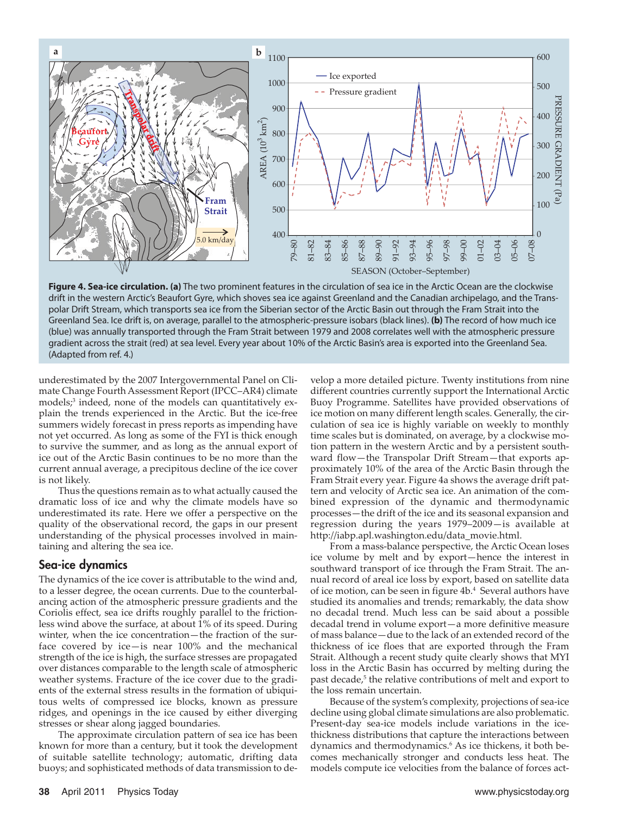

Figure 4. Sea-ice circulation. (a) The two prominent features in the circulation of sea ice in the Arctic Ocean are the clockwise drift in the western Arctic's Beaufort Gyre, which shoves sea ice against Greenland and the Canadian archipelago, and the Transpolar Drift Stream, which transports sea ice from the Siberian sector of the Arctic Basin out through the Fram Strait into the Greenland Sea. Ice drift is, on average, parallel to the atmospheric-pressure isobars (black lines). **(b)** The record of how much ice (blue) was annually transported through the Fram Strait between 1979 and 2008 correlates well with the atmospheric pressure gradient across the strait (red) at sea level. Every year about 10% of the Arctic Basin's area is exported into the Greenland Sea. (Adapted from ref. 4.)

underestimated by the 2007 Intergovernmental Panel on Climate Change Fourth Assessment Report (IPCC–AR4) climate models;<sup>3</sup> indeed, none of the models can quantitatively explain the trends experienced in the Arctic. But the ice-free summers widely forecast in press reports as impending have not yet occurred. As long as some of the FYI is thick enough to survive the summer, and as long as the annual export of ice out of the Arctic Basin continues to be no more than the current annual average, a precipitous decline of the ice cover is not likely.

Thus the questions remain as to what actually caused the dramatic loss of ice and why the climate models have so underestimated its rate. Here we offer a perspective on the quality of the observational record, the gaps in our present understanding of the physical processes involved in maintaining and altering the sea ice.

# **Sea-ice dynamics**

The dynamics of the ice cover is attributable to the wind and, to a lesser degree, the ocean currents. Due to the counterbalancing action of the atmospheric pressure gradients and the Coriolis effect, sea ice drifts roughly parallel to the frictionless wind above the surface, at about 1% of its speed. During winter, when the ice concentration—the fraction of the surface covered by ice—is near 100% and the mechanical strength of the ice is high, the surface stresses are propagated over distances comparable to the length scale of atmospheric weather systems. Fracture of the ice cover due to the gradients of the external stress results in the formation of ubiquitous welts of compressed ice blocks, known as pressure ridges, and openings in the ice caused by either diverging stresses or shear along jagged boundaries.

The approximate circulation pattern of sea ice has been known for more than a century, but it took the development of suitable satellite technology; automatic, drifting data buoys; and sophisticated methods of data transmission to develop a more detailed picture. Twenty institutions from nine different countries currently support the International Arctic Buoy Programme. Satellites have provided observations of ice motion on many different length scales. Generally, the circulation of sea ice is highly variable on weekly to monthly time scales but is dominated, on average, by a clockwise motion pattern in the western Arctic and by a persistent southward flow—the Transpolar Drift Stream—that exports approximately 10% of the area of the Arctic Basin through the Fram Strait every year. Figure 4a shows the average drift pattern and velocity of Arctic sea ice. An animation of the combined expression of the dynamic and thermodynamic processes—the drift of the ice and its seasonal expansion and regression during the years 1979–2009—is available at http://iabp.apl.washington.edu/data\_movie.html.

From a mass-balance perspective, the Arctic Ocean loses ice volume by melt and by export—hence the interest in southward transport of ice through the Fram Strait. The annual record of areal ice loss by export, based on satellite data of ice motion, can be seen in figure 4b.4 Several authors have studied its anomalies and trends; remarkably, the data show no decadal trend. Much less can be said about a possible decadal trend in volume export—a more definitive measure of mass balance—due to the lack of an extended record of the thickness of ice floes that are exported through the Fram Strait. Although a recent study quite clearly shows that MYI loss in the Arctic Basin has occurred by melting during the past decade,<sup>5</sup> the relative contributions of melt and export to the loss remain uncertain.

Because of the system's complexity, projections of sea-ice decline using global climate simulations are also problematic. Present-day sea-ice models include variations in the icethickness distributions that capture the interactions between dynamics and thermodynamics.<sup>6</sup> As ice thickens, it both becomes mechanically stronger and conducts less heat. The models compute ice velocities from the balance of forces act-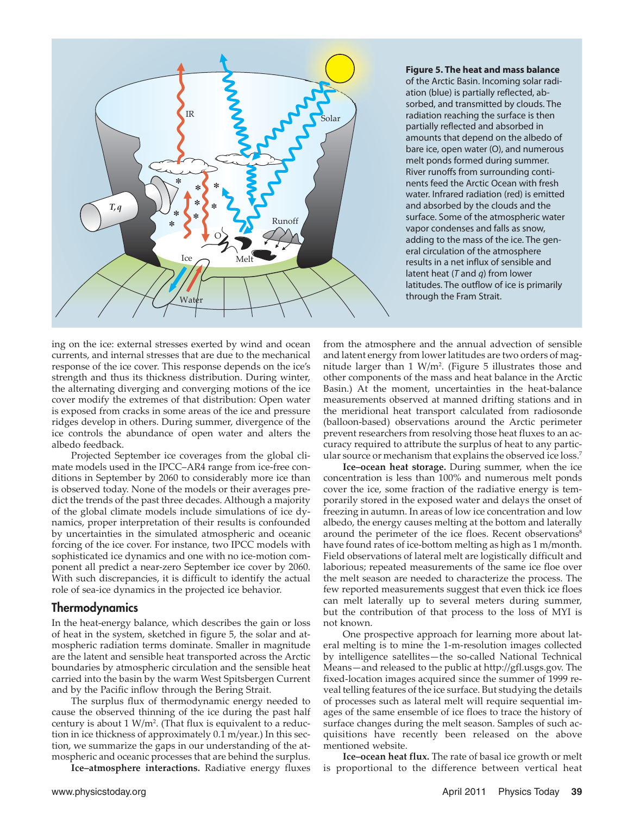

**Figure 5. The heat and mass balance**  of the Arctic Basin. Incoming solar radiation (blue) is partially reflected, absorbed, and transmitted by clouds. The radiation reaching the surface is then partially reflected and absorbed in amounts that depend on the albedo of bare ice, open water (O), and numerous melt ponds formed during summer. River runoffs from surrounding continents feed the Arctic Ocean with fresh water. Infrared radiation (red) is emitted and absorbed by the clouds and the surface. Some of the atmospheric water vapor condenses and falls as snow, adding to the mass of the ice. The general circulation of the atmosphere results in a net influx of sensible and latent heat (*T* and *q*) from lower latitudes. The outflow of ice is primarily through the Fram Strait.

ing on the ice: external stresses exerted by wind and ocean currents, and internal stresses that are due to the mechanical response of the ice cover. This response depends on the ice's strength and thus its thickness distribution. During winter, the alternating diverging and converging motions of the ice cover modify the extremes of that distribution: Open water is exposed from cracks in some areas of the ice and pressure ridges develop in others. During summer, divergence of the ice controls the abundance of open water and alters the albedo feedback.

Projected September ice coverages from the global climate models used in the IPCC–AR4 range from ice-free conditions in September by 2060 to considerably more ice than is observed today. None of the models or their averages predict the trends of the past three decades. Although a majority of the global climate models include simulations of ice dynamics, proper interpretation of their results is confounded by uncertainties in the simulated atmospheric and oceanic forcing of the ice cover. For instance, two IPCC models with sophisticated ice dynamics and one with no ice-motion component all predict a near-zero September ice cover by 2060. With such discrepancies, it is difficult to identify the actual role of sea-ice dynamics in the projected ice behavior.

## **Thermodynamics**

In the heat-energy balance, which describes the gain or loss of heat in the system, sketched in figure 5, the solar and atmospheric radiation terms dominate. Smaller in magnitude are the latent and sensible heat transported across the Arctic boundaries by atmospheric circulation and the sensible heat carried into the basin by the warm West Spitsbergen Current and by the Pacific inflow through the Bering Strait.

The surplus flux of thermodynamic energy needed to cause the observed thinning of the ice during the past half century is about 1 W/m2 . (That flux is equivalent to a reduction in ice thickness of approximately 0.1 m/year.) In this section, we summarize the gaps in our understanding of the atmospheric and oceanic processes that are behind the surplus.

**Ice–atmosphere interactions.** Radiative energy fluxes

from the atmosphere and the annual advection of sensible and latent energy from lower latitudes are two orders of magnitude larger than 1 W/m2 . (Figure 5 illustrates those and other components of the mass and heat balance in the Arctic Basin.) At the moment, uncertainties in the heat-balance measurements observed at manned drifting stations and in the meridional heat transport calculated from radiosonde (balloon-based) observations around the Arctic perimeter prevent researchers from resolving those heat fluxes to an accuracy required to attribute the surplus of heat to any particular source or mechanism that explains the observed ice loss.7

**Ice–ocean heat storage.** During summer, when the ice concentration is less than 100% and numerous melt ponds cover the ice, some fraction of the radiative energy is temporarily stored in the exposed water and delays the onset of freezing in autumn. In areas of low ice concentration and low albedo, the energy causes melting at the bottom and laterally around the perimeter of the ice floes. Recent observations<sup>8</sup> have found rates of ice-bottom melting as high as 1 m/month. Field observations of lateral melt are logistically difficult and laborious; repeated measurements of the same ice floe over the melt season are needed to characterize the process. The few reported measurements suggest that even thick ice floes can melt laterally up to several meters during summer, but the contribution of that process to the loss of MYI is not known.

One prospective approach for learning more about lateral melting is to mine the 1-m-resolution images collected by intelligence satellites—the so-called National Technical Means—and released to the public at http://gfl.usgs.gov. The fixed- location images acquired since the summer of 1999 reveal telling features of the ice surface. But studying the details of processes such as lateral melt will require sequential images of the same ensemble of ice floes to trace the history of surface changes during the melt season. Samples of such acquisitions have recently been released on the above mentioned website.

**Ice–ocean heat flux.** The rate of basal ice growth or melt is proportional to the difference between vertical heat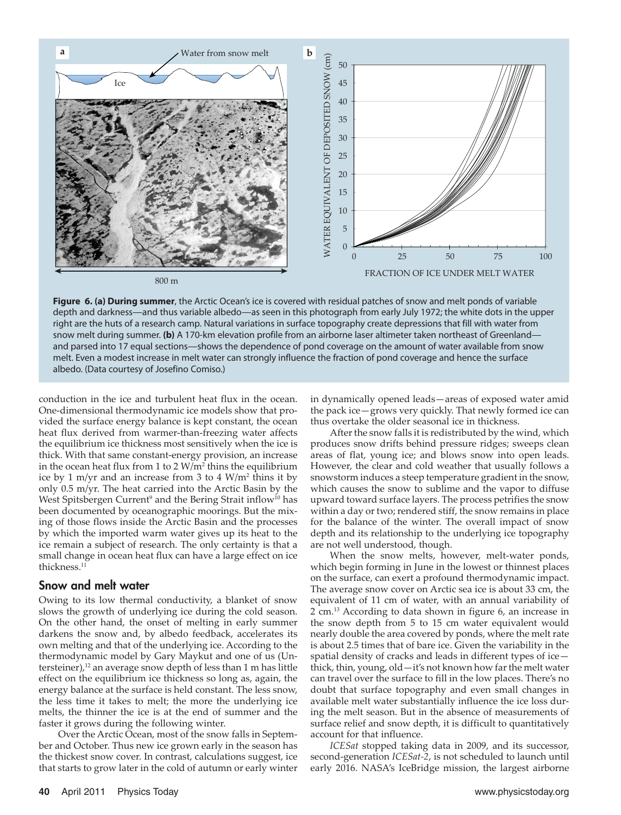

**Figure 6. (a) During summer**, the Arctic Ocean's ice is covered with residual patches of snow and melt ponds of variable depth and darkness—and thus variable albedo—as seen in this photograph from early July 1972; the white dots in the upper right are the huts of a research camp. Natural variations in surface topography create depressions that fill with water from snow melt during summer. **(b)** A 170-km elevation profile from an airborne laser altimeter taken northeast of Greenland and parsed into 17 equal sections—shows the dependence of pond coverage on the amount of water available from snow melt. Even a modest increase in melt water can strongly influence the fraction of pond coverage and hence the surface albedo. (Data courtesy of Josefino Comiso.)

conduction in the ice and turbulent heat flux in the ocean. One- dimensional thermodynamic ice models show that provided the surface energy balance is kept constant, the ocean heat flux derived from warmer-than-freezing water affects the equilibrium ice thickness most sensitively when the ice is thick. With that same constant-energy provision, an increase in the ocean heat flux from 1 to 2  $W/m^2$  thins the equilibrium ice by 1 m/yr and an increase from 3 to 4  $W/m^2$  thins it by only 0.5 m/yr. The heat carried into the Arctic Basin by the West Spitsbergen Current<sup>9</sup> and the Bering Strait inflow<sup>10</sup> has been documented by oceanographic moorings. But the mixing of those flows inside the Arctic Basin and the processes by which the imported warm water gives up its heat to the ice remain a subject of research. The only certainty is that a small change in ocean heat flux can have a large effect on ice thickness.<sup>11</sup>

#### **Snow and melt water**

Owing to its low thermal conductivity, a blanket of snow slows the growth of underlying ice during the cold season. On the other hand, the onset of melting in early summer darkens the snow and, by albedo feedback, accelerates its own melting and that of the underlying ice. According to the thermodynamic model by Gary Maykut and one of us (Untersteiner), $12$  an average snow depth of less than 1 m has little effect on the equilibrium ice thickness so long as, again, the energy balance at the surface is held constant. The less snow, the less time it takes to melt; the more the underlying ice melts, the thinner the ice is at the end of summer and the faster it grows during the following winter.

Over the Arctic Ocean, most of the snow falls in September and October. Thus new ice grown early in the season has the thickest snow cover. In contrast, calculations suggest, ice that starts to grow later in the cold of autumn or early winter in dynamically opened leads—areas of exposed water amid the pack ice—grows very quickly. That newly formed ice can thus overtake the older seasonal ice in thickness.

After the snow falls it is redistributed by the wind, which produces snow drifts behind pressure ridges; sweeps clean areas of flat, young ice; and blows snow into open leads. However, the clear and cold weather that usually follows a snowstorm induces a steep temperature gradient in the snow, which causes the snow to sublime and the vapor to diffuse upward toward surface layers. The process petrifies the snow within a day or two; rendered stiff, the snow remains in place for the balance of the winter. The overall impact of snow depth and its relationship to the underlying ice topography are not well understood, though.

When the snow melts, however, melt-water ponds, which begin forming in June in the lowest or thinnest places on the surface, can exert a profound thermodynamic impact. The average snow cover on Arctic sea ice is about 33 cm, the equivalent of 11 cm of water, with an annual variability of 2 cm.13 According to data shown in figure 6, an increase in the snow depth from 5 to 15 cm water equivalent would nearly double the area covered by ponds, where the melt rate is about 2.5 times that of bare ice. Given the variability in the spatial density of cracks and leads in different types of ice thick, thin, young, old—it's not known how far the melt water can travel over the surface to fill in the low places. There's no doubt that surface topography and even small changes in available melt water substantially influence the ice loss during the melt season. But in the absence of measurements of surface relief and snow depth, it is difficult to quantitatively account for that influence.

*ICESat* stopped taking data in 2009, and its successor, second-generation *ICESat-2*, is not scheduled to launch until early 2016. NASA's IceBridge mission, the largest airborne